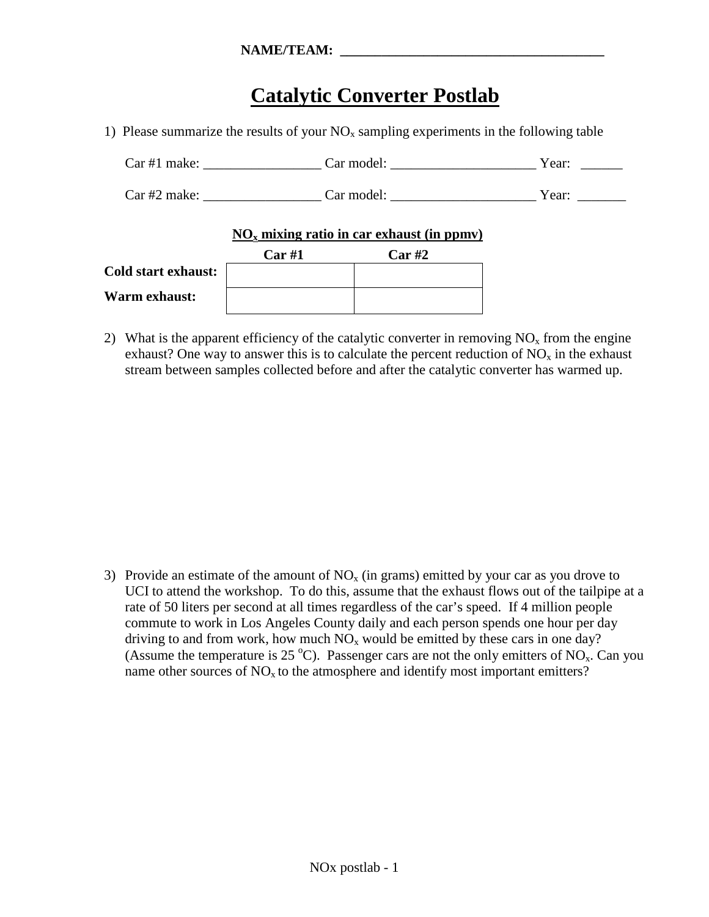## **Catalytic Converter Postlab**

1) Please summarize the results of your  $NO<sub>x</sub>$  sampling experiments in the following table

| Car#1 make:     | Car model: | Year: |
|-----------------|------------|-------|
| $Car \#2 make:$ | Car model: | Year: |

## **NOx mixing ratio in car exhaust (in ppmv)**

|                            | Car#1 | Car#2 |
|----------------------------|-------|-------|
| <b>Cold start exhaust:</b> |       |       |
| <b>Warm exhaust:</b>       |       |       |

2) What is the apparent efficiency of the catalytic converter in removing  $NO<sub>x</sub>$  from the engine exhaust? One way to answer this is to calculate the percent reduction of  $NO<sub>x</sub>$  in the exhaust stream between samples collected before and after the catalytic converter has warmed up.

3) Provide an estimate of the amount of  $NO<sub>x</sub>$  (in grams) emitted by your car as you drove to UCI to attend the workshop. To do this, assume that the exhaust flows out of the tailpipe at a rate of 50 liters per second at all times regardless of the car's speed. If 4 million people commute to work in Los Angeles County daily and each person spends one hour per day driving to and from work, how much  $NO<sub>x</sub>$  would be emitted by these cars in one day? (Assume the temperature is 25 °C). Passenger cars are not the only emitters of  $NO<sub>x</sub>$ . Can you name other sources of  $NO<sub>x</sub>$  to the atmosphere and identify most important emitters?